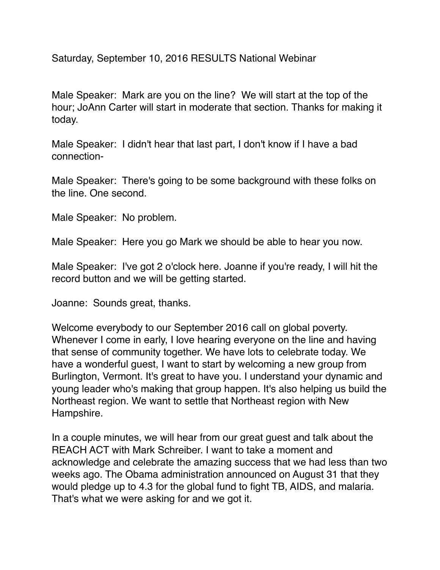Saturday, September 10, 2016 RESULTS National Webinar

Male Speaker: Mark are you on the line? We will start at the top of the hour; JoAnn Carter will start in moderate that section. Thanks for making it today.

Male Speaker: I didn't hear that last part, I don't know if I have a bad connection-

Male Speaker: There's going to be some background with these folks on the line. One second.

Male Speaker: No problem.

Male Speaker: Here you go Mark we should be able to hear you now.

Male Speaker: I've got 2 o'clock here. Joanne if you're ready, I will hit the record button and we will be getting started.

Joanne: Sounds great, thanks.

Welcome everybody to our September 2016 call on global poverty. Whenever I come in early, I love hearing everyone on the line and having that sense of community together. We have lots to celebrate today. We have a wonderful guest, I want to start by welcoming a new group from Burlington, Vermont. It's great to have you. I understand your dynamic and young leader who's making that group happen. It's also helping us build the Northeast region. We want to settle that Northeast region with New Hampshire.

In a couple minutes, we will hear from our great guest and talk about the REACH ACT with Mark Schreiber. I want to take a moment and acknowledge and celebrate the amazing success that we had less than two weeks ago. The Obama administration announced on August 31 that they would pledge up to 4.3 for the global fund to fight TB, AIDS, and malaria. That's what we were asking for and we got it.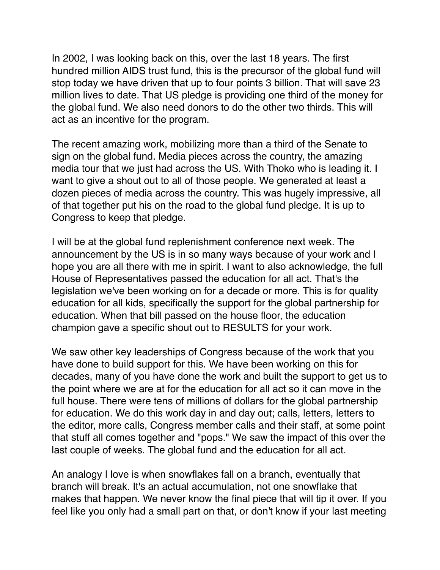In 2002, I was looking back on this, over the last 18 years. The first hundred million AIDS trust fund, this is the precursor of the global fund will stop today we have driven that up to four points 3 billion. That will save 23 million lives to date. That US pledge is providing one third of the money for the global fund. We also need donors to do the other two thirds. This will act as an incentive for the program.

The recent amazing work, mobilizing more than a third of the Senate to sign on the global fund. Media pieces across the country, the amazing media tour that we just had across the US. With Thoko who is leading it. I want to give a shout out to all of those people. We generated at least a dozen pieces of media across the country. This was hugely impressive, all of that together put his on the road to the global fund pledge. It is up to Congress to keep that pledge.

I will be at the global fund replenishment conference next week. The announcement by the US is in so many ways because of your work and I hope you are all there with me in spirit. I want to also acknowledge, the full House of Representatives passed the education for all act. That's the legislation we've been working on for a decade or more. This is for quality education for all kids, specifically the support for the global partnership for education. When that bill passed on the house floor, the education champion gave a specific shout out to RESULTS for your work.

We saw other key leaderships of Congress because of the work that you have done to build support for this. We have been working on this for decades, many of you have done the work and built the support to get us to the point where we are at for the education for all act so it can move in the full house. There were tens of millions of dollars for the global partnership for education. We do this work day in and day out; calls, letters, letters to the editor, more calls, Congress member calls and their staff, at some point that stuff all comes together and "pops." We saw the impact of this over the last couple of weeks. The global fund and the education for all act.

An analogy I love is when snowflakes fall on a branch, eventually that branch will break. It's an actual accumulation, not one snowflake that makes that happen. We never know the final piece that will tip it over. If you feel like you only had a small part on that, or don't know if your last meeting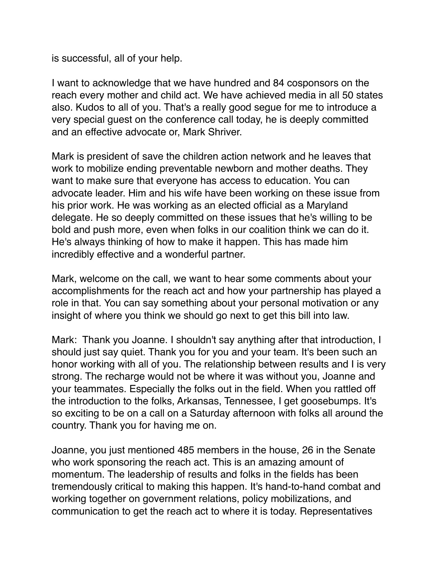is successful, all of your help.

I want to acknowledge that we have hundred and 84 cosponsors on the reach every mother and child act. We have achieved media in all 50 states also. Kudos to all of you. That's a really good segue for me to introduce a very special guest on the conference call today, he is deeply committed and an effective advocate or, Mark Shriver.

Mark is president of save the children action network and he leaves that work to mobilize ending preventable newborn and mother deaths. They want to make sure that everyone has access to education. You can advocate leader. Him and his wife have been working on these issue from his prior work. He was working as an elected official as a Maryland delegate. He so deeply committed on these issues that he's willing to be bold and push more, even when folks in our coalition think we can do it. He's always thinking of how to make it happen. This has made him incredibly effective and a wonderful partner.

Mark, welcome on the call, we want to hear some comments about your accomplishments for the reach act and how your partnership has played a role in that. You can say something about your personal motivation or any insight of where you think we should go next to get this bill into law.

Mark: Thank you Joanne. I shouldn't say anything after that introduction, I should just say quiet. Thank you for you and your team. It's been such an honor working with all of you. The relationship between results and I is very strong. The recharge would not be where it was without you, Joanne and your teammates. Especially the folks out in the field. When you rattled off the introduction to the folks, Arkansas, Tennessee, I get goosebumps. It's so exciting to be on a call on a Saturday afternoon with folks all around the country. Thank you for having me on.

Joanne, you just mentioned 485 members in the house, 26 in the Senate who work sponsoring the reach act. This is an amazing amount of momentum. The leadership of results and folks in the fields has been tremendously critical to making this happen. It's hand-to-hand combat and working together on government relations, policy mobilizations, and communication to get the reach act to where it is today. Representatives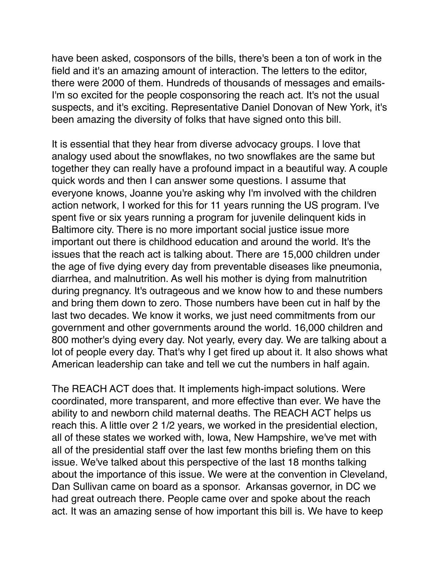have been asked, cosponsors of the bills, there's been a ton of work in the field and it's an amazing amount of interaction. The letters to the editor, there were 2000 of them. Hundreds of thousands of messages and emails-I'm so excited for the people cosponsoring the reach act. It's not the usual suspects, and it's exciting. Representative Daniel Donovan of New York, it's been amazing the diversity of folks that have signed onto this bill.

It is essential that they hear from diverse advocacy groups. I love that analogy used about the snowflakes, no two snowflakes are the same but together they can really have a profound impact in a beautiful way. A couple quick words and then I can answer some questions. I assume that everyone knows, Joanne you're asking why I'm involved with the children action network, I worked for this for 11 years running the US program. I've spent five or six years running a program for juvenile delinquent kids in Baltimore city. There is no more important social justice issue more important out there is childhood education and around the world. It's the issues that the reach act is talking about. There are 15,000 children under the age of five dying every day from preventable diseases like pneumonia, diarrhea, and malnutrition. As well his mother is dying from malnutrition during pregnancy. It's outrageous and we know how to and these numbers and bring them down to zero. Those numbers have been cut in half by the last two decades. We know it works, we just need commitments from our government and other governments around the world. 16,000 children and 800 mother's dying every day. Not yearly, every day. We are talking about a lot of people every day. That's why I get fired up about it. It also shows what American leadership can take and tell we cut the numbers in half again.

The REACH ACT does that. It implements high-impact solutions. Were coordinated, more transparent, and more effective than ever. We have the ability to and newborn child maternal deaths. The REACH ACT helps us reach this. A little over 2 1/2 years, we worked in the presidential election, all of these states we worked with, Iowa, New Hampshire, we've met with all of the presidential staff over the last few months briefing them on this issue. We've talked about this perspective of the last 18 months talking about the importance of this issue. We were at the convention in Cleveland, Dan Sullivan came on board as a sponsor. Arkansas governor, in DC we had great outreach there. People came over and spoke about the reach act. It was an amazing sense of how important this bill is. We have to keep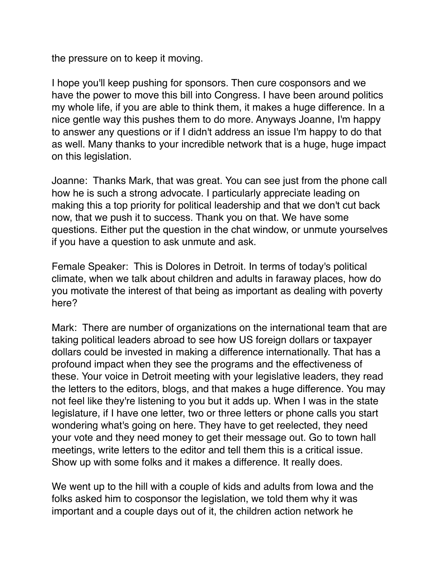the pressure on to keep it moving.

I hope you'll keep pushing for sponsors. Then cure cosponsors and we have the power to move this bill into Congress. I have been around politics my whole life, if you are able to think them, it makes a huge difference. In a nice gentle way this pushes them to do more. Anyways Joanne, I'm happy to answer any questions or if I didn't address an issue I'm happy to do that as well. Many thanks to your incredible network that is a huge, huge impact on this legislation.

Joanne: Thanks Mark, that was great. You can see just from the phone call how he is such a strong advocate. I particularly appreciate leading on making this a top priority for political leadership and that we don't cut back now, that we push it to success. Thank you on that. We have some questions. Either put the question in the chat window, or unmute yourselves if you have a question to ask unmute and ask.

Female Speaker: This is Dolores in Detroit. In terms of today's political climate, when we talk about children and adults in faraway places, how do you motivate the interest of that being as important as dealing with poverty here?

Mark: There are number of organizations on the international team that are taking political leaders abroad to see how US foreign dollars or taxpayer dollars could be invested in making a difference internationally. That has a profound impact when they see the programs and the effectiveness of these. Your voice in Detroit meeting with your legislative leaders, they read the letters to the editors, blogs, and that makes a huge difference. You may not feel like they're listening to you but it adds up. When I was in the state legislature, if I have one letter, two or three letters or phone calls you start wondering what's going on here. They have to get reelected, they need your vote and they need money to get their message out. Go to town hall meetings, write letters to the editor and tell them this is a critical issue. Show up with some folks and it makes a difference. It really does.

We went up to the hill with a couple of kids and adults from Iowa and the folks asked him to cosponsor the legislation, we told them why it was important and a couple days out of it, the children action network he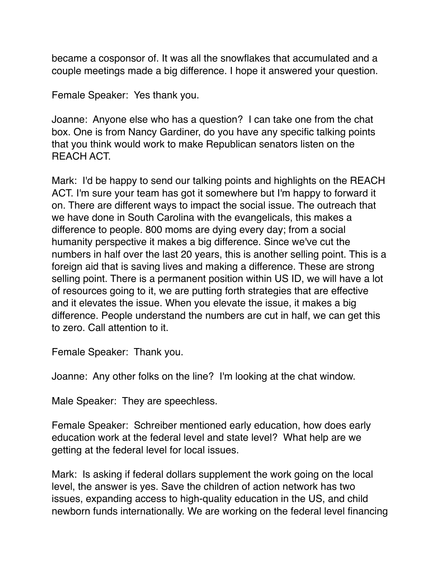became a cosponsor of. It was all the snowflakes that accumulated and a couple meetings made a big difference. I hope it answered your question.

Female Speaker: Yes thank you.

Joanne: Anyone else who has a question? I can take one from the chat box. One is from Nancy Gardiner, do you have any specific talking points that you think would work to make Republican senators listen on the REACH ACT.

Mark: I'd be happy to send our talking points and highlights on the REACH ACT. I'm sure your team has got it somewhere but I'm happy to forward it on. There are different ways to impact the social issue. The outreach that we have done in South Carolina with the evangelicals, this makes a difference to people. 800 moms are dying every day; from a social humanity perspective it makes a big difference. Since we've cut the numbers in half over the last 20 years, this is another selling point. This is a foreign aid that is saving lives and making a difference. These are strong selling point. There is a permanent position within US ID, we will have a lot of resources going to it, we are putting forth strategies that are effective and it elevates the issue. When you elevate the issue, it makes a big difference. People understand the numbers are cut in half, we can get this to zero. Call attention to it.

Female Speaker: Thank you.

Joanne: Any other folks on the line? I'm looking at the chat window.

Male Speaker: They are speechless.

Female Speaker: Schreiber mentioned early education, how does early education work at the federal level and state level? What help are we getting at the federal level for local issues.

Mark: Is asking if federal dollars supplement the work going on the local level, the answer is yes. Save the children of action network has two issues, expanding access to high-quality education in the US, and child newborn funds internationally. We are working on the federal level financing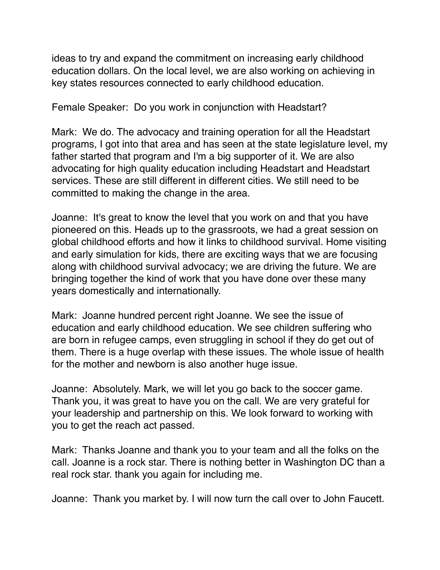ideas to try and expand the commitment on increasing early childhood education dollars. On the local level, we are also working on achieving in key states resources connected to early childhood education.

Female Speaker: Do you work in conjunction with Headstart?

Mark: We do. The advocacy and training operation for all the Headstart programs, I got into that area and has seen at the state legislature level, my father started that program and I'm a big supporter of it. We are also advocating for high quality education including Headstart and Headstart services. These are still different in different cities. We still need to be committed to making the change in the area.

Joanne: It's great to know the level that you work on and that you have pioneered on this. Heads up to the grassroots, we had a great session on global childhood efforts and how it links to childhood survival. Home visiting and early simulation for kids, there are exciting ways that we are focusing along with childhood survival advocacy; we are driving the future. We are bringing together the kind of work that you have done over these many years domestically and internationally.

Mark: Joanne hundred percent right Joanne. We see the issue of education and early childhood education. We see children suffering who are born in refugee camps, even struggling in school if they do get out of them. There is a huge overlap with these issues. The whole issue of health for the mother and newborn is also another huge issue.

Joanne: Absolutely. Mark, we will let you go back to the soccer game. Thank you, it was great to have you on the call. We are very grateful for your leadership and partnership on this. We look forward to working with you to get the reach act passed.

Mark: Thanks Joanne and thank you to your team and all the folks on the call. Joanne is a rock star. There is nothing better in Washington DC than a real rock star. thank you again for including me.

Joanne: Thank you market by. I will now turn the call over to John Faucett.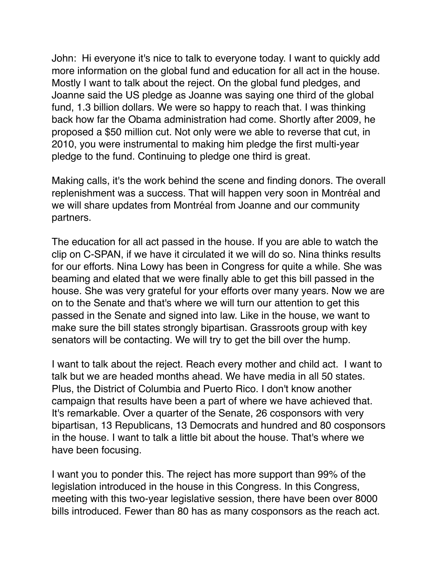John: Hi everyone it's nice to talk to everyone today. I want to quickly add more information on the global fund and education for all act in the house. Mostly I want to talk about the reject. On the global fund pledges, and Joanne said the US pledge as Joanne was saying one third of the global fund, 1.3 billion dollars. We were so happy to reach that. I was thinking back how far the Obama administration had come. Shortly after 2009, he proposed a \$50 million cut. Not only were we able to reverse that cut, in 2010, you were instrumental to making him pledge the first multi-year pledge to the fund. Continuing to pledge one third is great.

Making calls, it's the work behind the scene and finding donors. The overall replenishment was a success. That will happen very soon in Montréal and we will share updates from Montréal from Joanne and our community partners.

The education for all act passed in the house. If you are able to watch the clip on C-SPAN, if we have it circulated it we will do so. Nina thinks results for our efforts. Nina Lowy has been in Congress for quite a while. She was beaming and elated that we were finally able to get this bill passed in the house. She was very grateful for your efforts over many years. Now we are on to the Senate and that's where we will turn our attention to get this passed in the Senate and signed into law. Like in the house, we want to make sure the bill states strongly bipartisan. Grassroots group with key senators will be contacting. We will try to get the bill over the hump.

I want to talk about the reject. Reach every mother and child act. I want to talk but we are headed months ahead. We have media in all 50 states. Plus, the District of Columbia and Puerto Rico. I don't know another campaign that results have been a part of where we have achieved that. It's remarkable. Over a quarter of the Senate, 26 cosponsors with very bipartisan, 13 Republicans, 13 Democrats and hundred and 80 cosponsors in the house. I want to talk a little bit about the house. That's where we have been focusing.

I want you to ponder this. The reject has more support than 99% of the legislation introduced in the house in this Congress. In this Congress, meeting with this two-year legislative session, there have been over 8000 bills introduced. Fewer than 80 has as many cosponsors as the reach act.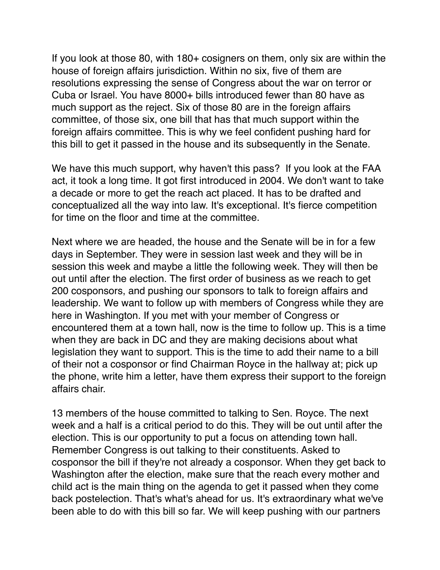If you look at those 80, with 180+ cosigners on them, only six are within the house of foreign affairs jurisdiction. Within no six, five of them are resolutions expressing the sense of Congress about the war on terror or Cuba or Israel. You have 8000+ bills introduced fewer than 80 have as much support as the reject. Six of those 80 are in the foreign affairs committee, of those six, one bill that has that much support within the foreign affairs committee. This is why we feel confident pushing hard for this bill to get it passed in the house and its subsequently in the Senate.

We have this much support, why haven't this pass? If you look at the FAA act, it took a long time. It got first introduced in 2004. We don't want to take a decade or more to get the reach act placed. It has to be drafted and conceptualized all the way into law. It's exceptional. It's fierce competition for time on the floor and time at the committee.

Next where we are headed, the house and the Senate will be in for a few days in September. They were in session last week and they will be in session this week and maybe a little the following week. They will then be out until after the election. The first order of business as we reach to get 200 cosponsors, and pushing our sponsors to talk to foreign affairs and leadership. We want to follow up with members of Congress while they are here in Washington. If you met with your member of Congress or encountered them at a town hall, now is the time to follow up. This is a time when they are back in DC and they are making decisions about what legislation they want to support. This is the time to add their name to a bill of their not a cosponsor or find Chairman Royce in the hallway at; pick up the phone, write him a letter, have them express their support to the foreign affairs chair.

13 members of the house committed to talking to Sen. Royce. The next week and a half is a critical period to do this. They will be out until after the election. This is our opportunity to put a focus on attending town hall. Remember Congress is out talking to their constituents. Asked to cosponsor the bill if they're not already a cosponsor. When they get back to Washington after the election, make sure that the reach every mother and child act is the main thing on the agenda to get it passed when they come back postelection. That's what's ahead for us. It's extraordinary what we've been able to do with this bill so far. We will keep pushing with our partners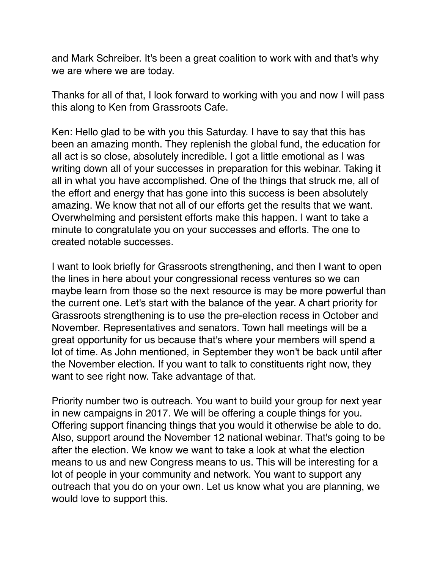and Mark Schreiber. It's been a great coalition to work with and that's why we are where we are today.

Thanks for all of that, I look forward to working with you and now I will pass this along to Ken from Grassroots Cafe.

Ken: Hello glad to be with you this Saturday. I have to say that this has been an amazing month. They replenish the global fund, the education for all act is so close, absolutely incredible. I got a little emotional as I was writing down all of your successes in preparation for this webinar. Taking it all in what you have accomplished. One of the things that struck me, all of the effort and energy that has gone into this success is been absolutely amazing. We know that not all of our efforts get the results that we want. Overwhelming and persistent efforts make this happen. I want to take a minute to congratulate you on your successes and efforts. The one to created notable successes.

I want to look briefly for Grassroots strengthening, and then I want to open the lines in here about your congressional recess ventures so we can maybe learn from those so the next resource is may be more powerful than the current one. Let's start with the balance of the year. A chart priority for Grassroots strengthening is to use the pre-election recess in October and November. Representatives and senators. Town hall meetings will be a great opportunity for us because that's where your members will spend a lot of time. As John mentioned, in September they won't be back until after the November election. If you want to talk to constituents right now, they want to see right now. Take advantage of that.

Priority number two is outreach. You want to build your group for next year in new campaigns in 2017. We will be offering a couple things for you. Offering support financing things that you would it otherwise be able to do. Also, support around the November 12 national webinar. That's going to be after the election. We know we want to take a look at what the election means to us and new Congress means to us. This will be interesting for a lot of people in your community and network. You want to support any outreach that you do on your own. Let us know what you are planning, we would love to support this.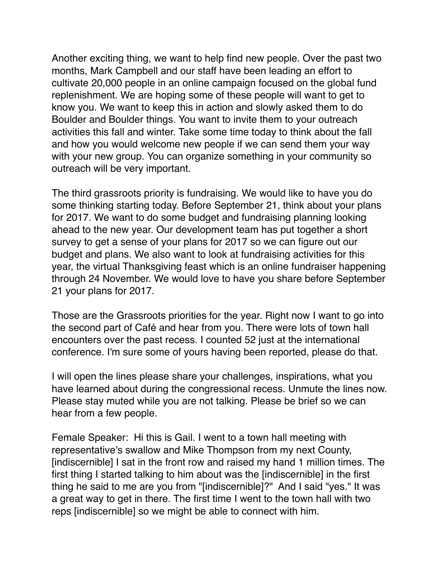Another exciting thing, we want to help find new people. Over the past two months, Mark Campbell and our staff have been leading an effort to cultivate 20,000 people in an online campaign focused on the global fund replenishment. We are hoping some of these people will want to get to know you. We want to keep this in action and slowly asked them to do Boulder and Boulder things. You want to invite them to your outreach activities this fall and winter. Take some time today to think about the fall and how you would welcome new people if we can send them your way with your new group. You can organize something in your community so outreach will be very important.

The third grassroots priority is fundraising. We would like to have you do some thinking starting today. Before September 21, think about your plans for 2017. We want to do some budget and fundraising planning looking ahead to the new year. Our development team has put together a short survey to get a sense of your plans for 2017 so we can figure out our budget and plans. We also want to look at fundraising activities for this year, the virtual Thanksgiving feast which is an online fundraiser happening through 24 November. We would love to have you share before September 21 your plans for 2017.

Those are the Grassroots priorities for the year. Right now I want to go into the second part of Café and hear from you. There were lots of town hall encounters over the past recess. I counted 52 just at the international conference. I'm sure some of yours having been reported, please do that.

I will open the lines please share your challenges, inspirations, what you have learned about during the congressional recess. Unmute the lines now. Please stay muted while you are not talking. Please be brief so we can hear from a few people.

Female Speaker: Hi this is Gail. I went to a town hall meeting with representative's swallow and Mike Thompson from my next County, [indiscernible] I sat in the front row and raised my hand 1 million times. The first thing I started talking to him about was the [indiscernible] in the first thing he said to me are you from "[indiscernible]?" And I said "yes." It was a great way to get in there. The first time I went to the town hall with two reps [indiscernible] so we might be able to connect with him.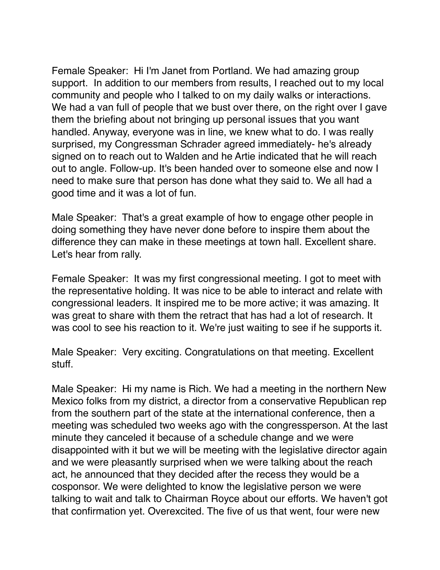Female Speaker: Hi I'm Janet from Portland. We had amazing group support. In addition to our members from results, I reached out to my local community and people who I talked to on my daily walks or interactions. We had a van full of people that we bust over there, on the right over I gave them the briefing about not bringing up personal issues that you want handled. Anyway, everyone was in line, we knew what to do. I was really surprised, my Congressman Schrader agreed immediately- he's already signed on to reach out to Walden and he Artie indicated that he will reach out to angle. Follow-up. It's been handed over to someone else and now I need to make sure that person has done what they said to. We all had a good time and it was a lot of fun.

Male Speaker: That's a great example of how to engage other people in doing something they have never done before to inspire them about the difference they can make in these meetings at town hall. Excellent share. Let's hear from rally.

Female Speaker: It was my first congressional meeting. I got to meet with the representative holding. It was nice to be able to interact and relate with congressional leaders. It inspired me to be more active; it was amazing. It was great to share with them the retract that has had a lot of research. It was cool to see his reaction to it. We're just waiting to see if he supports it.

Male Speaker: Very exciting. Congratulations on that meeting. Excellent stuff.

Male Speaker: Hi my name is Rich. We had a meeting in the northern New Mexico folks from my district, a director from a conservative Republican rep from the southern part of the state at the international conference, then a meeting was scheduled two weeks ago with the congressperson. At the last minute they canceled it because of a schedule change and we were disappointed with it but we will be meeting with the legislative director again and we were pleasantly surprised when we were talking about the reach act, he announced that they decided after the recess they would be a cosponsor. We were delighted to know the legislative person we were talking to wait and talk to Chairman Royce about our efforts. We haven't got that confirmation yet. Overexcited. The five of us that went, four were new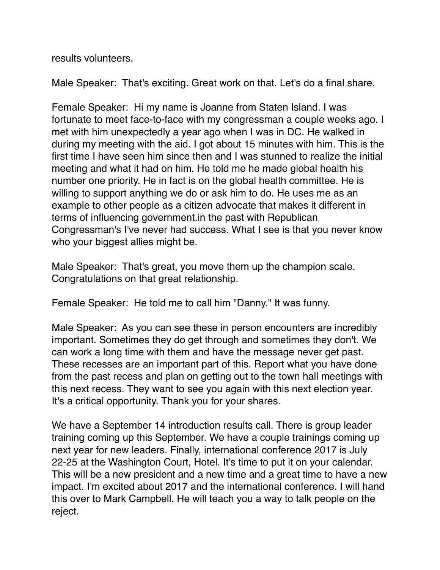results volunteers.

Male Speaker: That's exciting. Great work on that. Let's do a final share.

Female Speaker: Hi my name is Joanne from Staten Island. I was fortunate to meet face-to-face with my congressman a couple weeks ago. I met with him unexpectedly a year ago when I was in DC. He walked in during my meeting with the aid. I got about 15 minutes with him. This is the first time I have seen him since then and I was stunned to realize the initial meeting and what it had on him. He told me he made global health his number one priority. He in fact is on the global health committee. He is willing to support anything we do or ask him to do. He uses me as an example to other people as a citizen advocate that makes it different in terms of influencing government.in the past with Republican Congressman's I've never had success. What I see is that you never know who your biggest allies might be.

Male Speaker: That's great, you move them up the champion scale. Congratulations on that great relationship.

Female Speaker: He told me to call him "Danny." It was funny.

Male Speaker: As you can see these in person encounters are incredibly important. Sometimes they do get through and sometimes they don't. We can work a long time with them and have the message never get past. These recesses are an important part of this. Report what you have done from the past recess and plan on getting out to the town hall meetings with this next recess. They want to see you again with this next election year. It's a critical opportunity. Thank you for your shares.

We have a September 14 introduction results call. There is group leader training coming up this September. We have a couple trainings coming up next year for new leaders. Finally, international conference 2017 is July 22-25 at the Washington Court, Hotel. It's time to put it on your calendar. This will be a new president and a new time and a great time to have a new impact. I'm excited about 2017 and the international conference. I will hand this over to Mark Campbell. He will teach you a way to talk people on the reject.